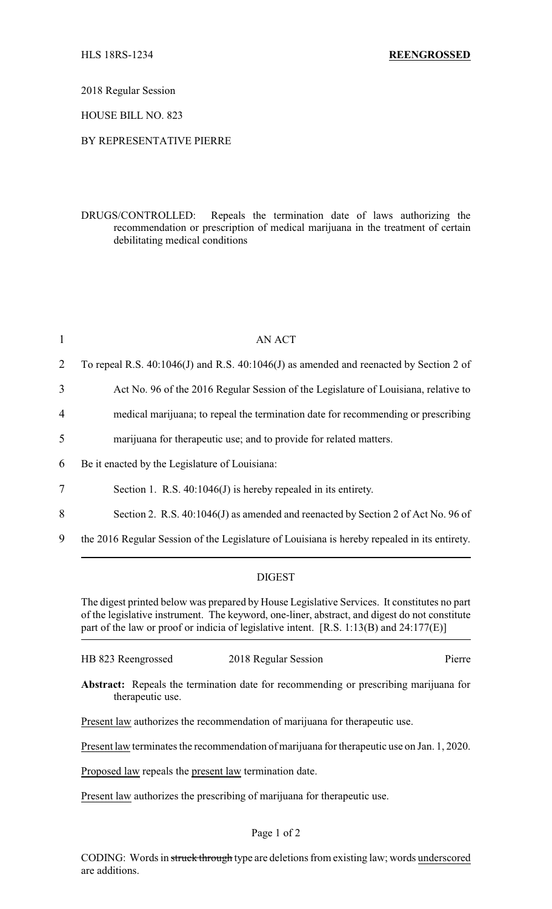2018 Regular Session

HOUSE BILL NO. 823

## BY REPRESENTATIVE PIERRE

DRUGS/CONTROLLED: Repeals the termination date of laws authorizing the recommendation or prescription of medical marijuana in the treatment of certain debilitating medical conditions

| $\mathbf{1}$   | <b>AN ACT</b>                                                                                |
|----------------|----------------------------------------------------------------------------------------------|
| 2              | To repeal R.S. 40:1046(J) and R.S. 40:1046(J) as amended and reenacted by Section 2 of       |
| 3              | Act No. 96 of the 2016 Regular Session of the Legislature of Louisiana, relative to          |
| $\overline{4}$ | medical marijuana; to repeal the termination date for recommending or prescribing            |
| 5              | marijuana for therapeutic use; and to provide for related matters.                           |
| 6              | Be it enacted by the Legislature of Louisiana:                                               |
| $\overline{7}$ | Section 1. R.S. $40:1046(J)$ is hereby repealed in its entirety.                             |
| 8              | Section 2. R.S. 40:1046(J) as amended and reenacted by Section 2 of Act No. 96 of            |
| 9              | the 2016 Regular Session of the Legislature of Louisiana is hereby repealed in its entirety. |

## DIGEST

The digest printed below was prepared by House Legislative Services. It constitutes no part of the legislative instrument. The keyword, one-liner, abstract, and digest do not constitute part of the law or proof or indicia of legislative intent. [R.S. 1:13(B) and 24:177(E)]

|  | HB 823 Reengrossed | 2018 Regular Session | Pierre |
|--|--------------------|----------------------|--------|
|--|--------------------|----------------------|--------|

**Abstract:** Repeals the termination date for recommending or prescribing marijuana for therapeutic use.

Present law authorizes the recommendation of marijuana for therapeutic use.

Present law terminates the recommendation of marijuana for therapeutic use on Jan. 1, 2020.

Proposed law repeals the present law termination date.

Present law authorizes the prescribing of marijuana for therapeutic use.

## Page 1 of 2

CODING: Words in struck through type are deletions from existing law; words underscored are additions.